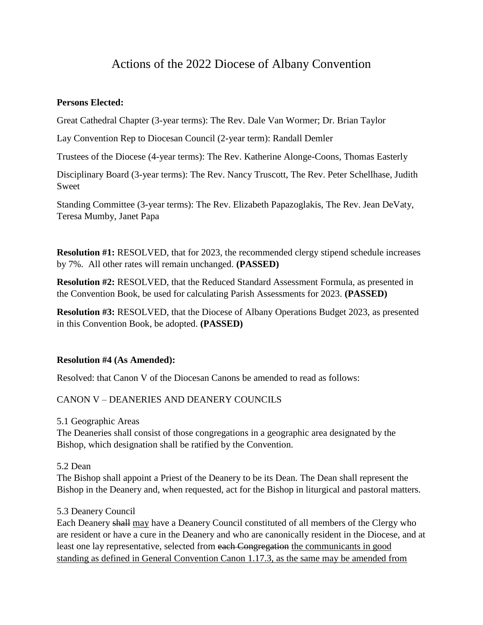# Actions of the 2022 Diocese of Albany Convention

## **Persons Elected:**

Great Cathedral Chapter (3-year terms): The Rev. Dale Van Wormer; Dr. Brian Taylor

Lay Convention Rep to Diocesan Council (2-year term): Randall Demler

Trustees of the Diocese (4-year terms): The Rev. Katherine Alonge-Coons, Thomas Easterly

Disciplinary Board (3-year terms): The Rev. Nancy Truscott, The Rev. Peter Schellhase, Judith Sweet

Standing Committee (3-year terms): The Rev. Elizabeth Papazoglakis, The Rev. Jean DeVaty, Teresa Mumby, Janet Papa

**Resolution #1:** RESOLVED, that for 2023, the recommended clergy stipend schedule increases by 7%. All other rates will remain unchanged. **(PASSED)**

**Resolution #2:** RESOLVED, that the Reduced Standard Assessment Formula, as presented in the Convention Book, be used for calculating Parish Assessments for 2023. **(PASSED)**

**Resolution #3:** RESOLVED, that the Diocese of Albany Operations Budget 2023, as presented in this Convention Book, be adopted. **(PASSED)**

## **Resolution #4 (As Amended):**

Resolved: that Canon V of the Diocesan Canons be amended to read as follows:

## CANON V – DEANERIES AND DEANERY COUNCILS

5.1 Geographic Areas

The Deaneries shall consist of those congregations in a geographic area designated by the Bishop, which designation shall be ratified by the Convention.

## 5.2 Dean

The Bishop shall appoint a Priest of the Deanery to be its Dean. The Dean shall represent the Bishop in the Deanery and, when requested, act for the Bishop in liturgical and pastoral matters.

## 5.3 Deanery Council

Each Deanery shall may have a Deanery Council constituted of all members of the Clergy who are resident or have a cure in the Deanery and who are canonically resident in the Diocese, and at least one lay representative, selected from each Congregation the communicants in good standing as defined in General Convention Canon 1.17.3, as the same may be amended from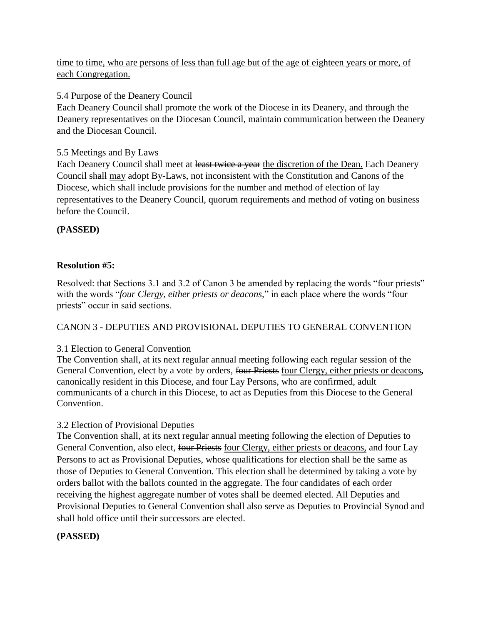time to time, who are persons of less than full age but of the age of eighteen years or more, of each Congregation.

5.4 Purpose of the Deanery Council

Each Deanery Council shall promote the work of the Diocese in its Deanery, and through the Deanery representatives on the Diocesan Council, maintain communication between the Deanery and the Diocesan Council.

# 5.5 Meetings and By Laws

Each Deanery Council shall meet at least twice a year the discretion of the Dean. Each Deanery Council shall may adopt By-Laws, not inconsistent with the Constitution and Canons of the Diocese, which shall include provisions for the number and method of election of lay representatives to the Deanery Council, quorum requirements and method of voting on business before the Council.

# **(PASSED)**

# **Resolution #5:**

Resolved: that Sections 3.1 and 3.2 of Canon 3 be amended by replacing the words "four priests" with the words "*four Clergy, either priests or deacons,*" in each place where the words "four priests" occur in said sections.

# CANON 3 - DEPUTIES AND PROVISIONAL DEPUTIES TO GENERAL CONVENTION

## 3.1 Election to General Convention

The Convention shall, at its next regular annual meeting following each regular session of the General Convention, elect by a vote by orders, four Priests four Clergy, either priests or deacons*,* canonically resident in this Diocese, and four Lay Persons, who are confirmed, adult communicants of a church in this Diocese, to act as Deputies from this Diocese to the General Convention.

# 3.2 Election of Provisional Deputies

The Convention shall, at its next regular annual meeting following the election of Deputies to General Convention, also elect, four Priests four Clergy, either priests or deacons, and four Lay Persons to act as Provisional Deputies, whose qualifications for election shall be the same as those of Deputies to General Convention. This election shall be determined by taking a vote by orders ballot with the ballots counted in the aggregate. The four candidates of each order receiving the highest aggregate number of votes shall be deemed elected. All Deputies and Provisional Deputies to General Convention shall also serve as Deputies to Provincial Synod and shall hold office until their successors are elected.

## **(PASSED)**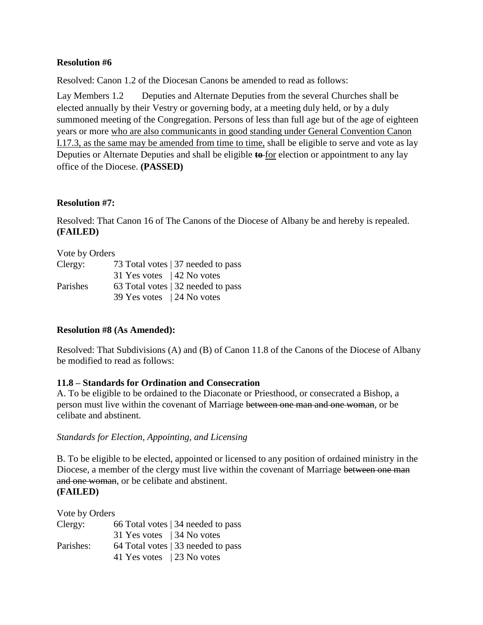#### **Resolution #6**

Resolved: Canon 1.2 of the Diocesan Canons be amended to read as follows:

Lay Members 1.2 Deputies and Alternate Deputies from the several Churches shall be elected annually by their Vestry or governing body, at a meeting duly held, or by a duly summoned meeting of the Congregation. Persons of less than full age but of the age of eighteen years or more who are also communicants in good standing under General Convention Canon I.17.3, as the same may be amended from time to time, shall be eligible to serve and vote as lay Deputies or Alternate Deputies and shall be eligible **to** for election or appointment to any lay office of the Diocese. **(PASSED)**

#### **Resolution #7:**

Resolved: That Canon 16 of The Canons of the Diocese of Albany be and hereby is repealed. **(FAILED)**

| Vote by Orders |                                    |
|----------------|------------------------------------|
| Clergy:        | 73 Total votes   37 needed to pass |
|                | 31 Yes votes $\vert$ 42 No votes   |
| Parishes       | 63 Total votes   32 needed to pass |
|                | 39 Yes votes $\vert$ 24 No votes   |

## **Resolution #8 (As Amended):**

Resolved: That Subdivisions (A) and (B) of Canon 11.8 of the Canons of the Diocese of Albany be modified to read as follows:

## **11.8 – Standards for Ordination and Consecration**

A. To be eligible to be ordained to the Diaconate or Priesthood, or consecrated a Bishop, a person must live within the covenant of Marriage between one man and one woman, or be celibate and abstinent.

#### *Standards for Election, Appointing, and Licensing*

B. To be eligible to be elected, appointed or licensed to any position of ordained ministry in the Diocese, a member of the clergy must live within the covenant of Marriage between one man and one woman, or be celibate and abstinent. **(FAILED)**

| Vote by Orders |                            |                                    |
|----------------|----------------------------|------------------------------------|
| Clergy:        |                            | 66 Total votes   34 needed to pass |
|                | 31 Yes votes   34 No votes |                                    |
| Parishes:      |                            | 64 Total votes   33 needed to pass |
|                | 41 Yes votes 23 No votes   |                                    |